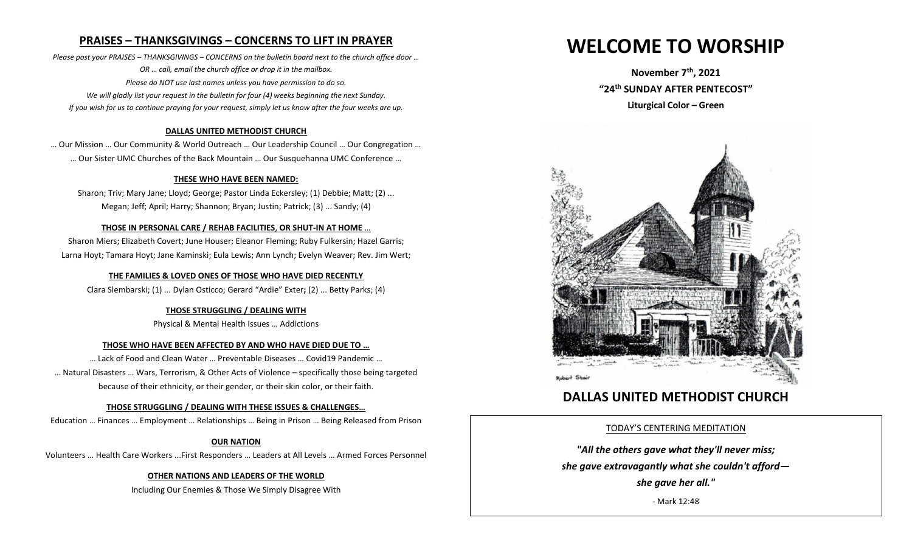# **PRAISES – THANKSGIVINGS – CONCERNS TO LIFT IN PRAYER**

*Please post your PRAISES – THANKSGIVINGS – CONCERNS on the bulletin board next to the church office door … OR … call, email the church office or drop it in the mailbox. Please do NOT use last names unless you have permission to do so. We will gladly list your request in the bulletin for four (4) weeks beginning the next Sunday. If you wish for us to continue praying for your request, simply let us know after the four weeks are up.*

### **DALLAS UNITED METHODIST CHURCH**

… Our Mission … Our Community & World Outreach … Our Leadership Council … Our Congregation … … Our Sister UMC Churches of the Back Mountain … Our Susquehanna UMC Conference …

#### **THESE WHO HAVE BEEN NAMED:**

Sharon; Triv; Mary Jane; Lloyd; George; Pastor Linda Eckersley; (1) Debbie; Matt; (2) ... Megan; Jeff; April; Harry; Shannon; Bryan; Justin; Patrick; (3) ... Sandy; (4)

#### **THOSE IN PERSONAL CARE / REHAB FACILITIES**, **OR SHUT-IN AT HOME** …

Sharon Miers; Elizabeth Covert; June Houser; Eleanor Fleming; Ruby Fulkersin; Hazel Garris; Larna Hoyt; Tamara Hoyt; Jane Kaminski; Eula Lewis; Ann Lynch; Evelyn Weaver; Rev. Jim Wert;

#### **THE FAMILIES & LOVED ONES OF THOSE WHO HAVE DIED RECENTLY**

Clara Slembarski; (1) ... Dylan Osticco; Gerard "Ardie" Exter**;** (2) ... Betty Parks; (4)

#### **THOSE STRUGGLING / DEALING WITH**

Physical & Mental Health Issues … Addictions

#### **THOSE WHO HAVE BEEN AFFECTED BY AND WHO HAVE DIED DUE TO …**

… Lack of Food and Clean Water … Preventable Diseases … Covid19 Pandemic … … Natural Disasters … Wars, Terrorism, & Other Acts of Violence – specifically those being targeted because of their ethnicity, or their gender, or their skin color, or their faith.

#### **THOSE STRUGGLING / DEALING WITH THESE ISSUES & CHALLENGES…**

Education … Finances … Employment … Relationships … Being in Prison … Being Released from Prison

#### **OUR NATION**

Volunteers … Health Care Workers ...First Responders … Leaders at All Levels … Armed Forces Personnel

## **OTHER NATIONS AND LEADERS OF THE WORLD**

Including Our Enemies & Those We Simply Disagree With

# **WELCOME TO WORSHIP**

**November 7th , 2021 "24 th SUNDAY AFTER PENTECOST" Liturgical Color – Green**



# **DALLAS UNITED METHODIST CHURCH**

## TODAY'S CENTERING MEDITATION

*"All the others gave what they'll never miss; she gave extravagantly what she couldn't afford—*

*she gave her all."*

- Mark 12:48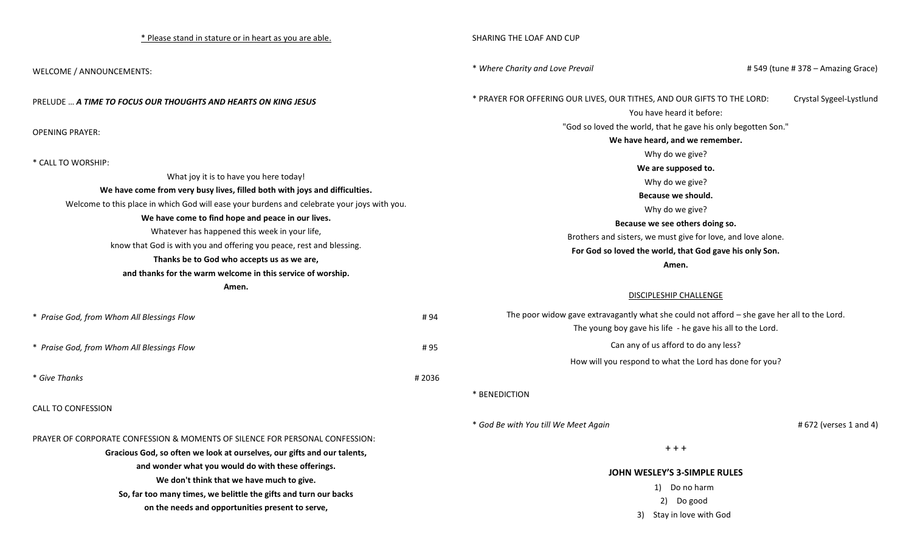| * Please stand in stature or in heart as you are able.                                                                                                                                                                                                                                                                                                                                                                                          |       | SHARING THE LOAF AND CUP                                                                                                                                  |                                  |  |
|-------------------------------------------------------------------------------------------------------------------------------------------------------------------------------------------------------------------------------------------------------------------------------------------------------------------------------------------------------------------------------------------------------------------------------------------------|-------|-----------------------------------------------------------------------------------------------------------------------------------------------------------|----------------------------------|--|
| WELCOME / ANNOUNCEMENTS:                                                                                                                                                                                                                                                                                                                                                                                                                        |       | * Where Charity and Love Prevail                                                                                                                          | #549 (tune #378 – Amazing Grace) |  |
| <b>PRELUDE  A TIME TO FOCUS OUR THOUGHTS AND HEARTS ON KING JESUS</b>                                                                                                                                                                                                                                                                                                                                                                           |       | * PRAYER FOR OFFERING OUR LIVES, OUR TITHES, AND OUR GIFTS TO THE LORD:<br>You have heard it before:                                                      | Crystal Sygeel-Lystlund          |  |
|                                                                                                                                                                                                                                                                                                                                                                                                                                                 |       | "God so loved the world, that he gave his only begotten Son."                                                                                             |                                  |  |
| <b>OPENING PRAYER:</b>                                                                                                                                                                                                                                                                                                                                                                                                                          |       | We have heard, and we remember.                                                                                                                           |                                  |  |
|                                                                                                                                                                                                                                                                                                                                                                                                                                                 |       | Why do we give?                                                                                                                                           |                                  |  |
| * CALL TO WORSHIP:                                                                                                                                                                                                                                                                                                                                                                                                                              |       | We are supposed to.                                                                                                                                       |                                  |  |
| What joy it is to have you here today!<br>We have come from very busy lives, filled both with joys and difficulties.<br>Welcome to this place in which God will ease your burdens and celebrate your joys with you.<br>We have come to find hope and peace in our lives.<br>Whatever has happened this week in your life,<br>know that God is with you and offering you peace, rest and blessing.<br>Thanks be to God who accepts us as we are, |       | Why do we give?                                                                                                                                           |                                  |  |
|                                                                                                                                                                                                                                                                                                                                                                                                                                                 |       | Because we should.                                                                                                                                        |                                  |  |
|                                                                                                                                                                                                                                                                                                                                                                                                                                                 |       | Why do we give?                                                                                                                                           |                                  |  |
|                                                                                                                                                                                                                                                                                                                                                                                                                                                 |       | Because we see others doing so.                                                                                                                           |                                  |  |
|                                                                                                                                                                                                                                                                                                                                                                                                                                                 |       | Brothers and sisters, we must give for love, and love alone.                                                                                              |                                  |  |
|                                                                                                                                                                                                                                                                                                                                                                                                                                                 |       | For God so loved the world, that God gave his only Son.                                                                                                   |                                  |  |
|                                                                                                                                                                                                                                                                                                                                                                                                                                                 |       | Amen.                                                                                                                                                     |                                  |  |
| and thanks for the warm welcome in this service of worship.                                                                                                                                                                                                                                                                                                                                                                                     |       |                                                                                                                                                           |                                  |  |
| Amen.                                                                                                                                                                                                                                                                                                                                                                                                                                           |       | <b>DISCIPLESHIP CHALLENGE</b>                                                                                                                             |                                  |  |
| * Praise God, from Whom All Blessings Flow                                                                                                                                                                                                                                                                                                                                                                                                      | #94   | The poor widow gave extravagantly what she could not afford - she gave her all to the Lord.<br>The young boy gave his life - he gave his all to the Lord. |                                  |  |
| * Praise God, from Whom All Blessings Flow<br>#95                                                                                                                                                                                                                                                                                                                                                                                               |       | Can any of us afford to do any less?                                                                                                                      |                                  |  |
|                                                                                                                                                                                                                                                                                                                                                                                                                                                 |       | How will you respond to what the Lord has done for you?                                                                                                   |                                  |  |
| * Give Thanks                                                                                                                                                                                                                                                                                                                                                                                                                                   | #2036 |                                                                                                                                                           |                                  |  |
|                                                                                                                                                                                                                                                                                                                                                                                                                                                 |       | * BENEDICTION                                                                                                                                             |                                  |  |
| <b>CALL TO CONFESSION</b>                                                                                                                                                                                                                                                                                                                                                                                                                       |       |                                                                                                                                                           |                                  |  |
|                                                                                                                                                                                                                                                                                                                                                                                                                                                 |       |                                                                                                                                                           |                                  |  |
|                                                                                                                                                                                                                                                                                                                                                                                                                                                 |       | * God Be with You till We Meet Again                                                                                                                      | # 672 (verses 1 and 4)           |  |
| PRAYER OF CORPORATE CONFESSION & MOMENTS OF SILENCE FOR PERSONAL CONFESSION:<br>Gracious God, so often we look at ourselves, our gifts and our talents,                                                                                                                                                                                                                                                                                         |       | $+ + +$                                                                                                                                                   |                                  |  |
|                                                                                                                                                                                                                                                                                                                                                                                                                                                 |       |                                                                                                                                                           |                                  |  |
| and wonder what you would do with these offerings.                                                                                                                                                                                                                                                                                                                                                                                              |       | JOHN WESLEY'S 3-SIMPLE RULES                                                                                                                              |                                  |  |
| We don't think that we have much to give.                                                                                                                                                                                                                                                                                                                                                                                                       |       | 1) Do no harm                                                                                                                                             |                                  |  |
| So, far too many times, we belittle the gifts and turn our backs<br>on the needs and opportunities present to serve,                                                                                                                                                                                                                                                                                                                            |       | 2) Do good                                                                                                                                                |                                  |  |
|                                                                                                                                                                                                                                                                                                                                                                                                                                                 |       | 3) Stay in love with God                                                                                                                                  |                                  |  |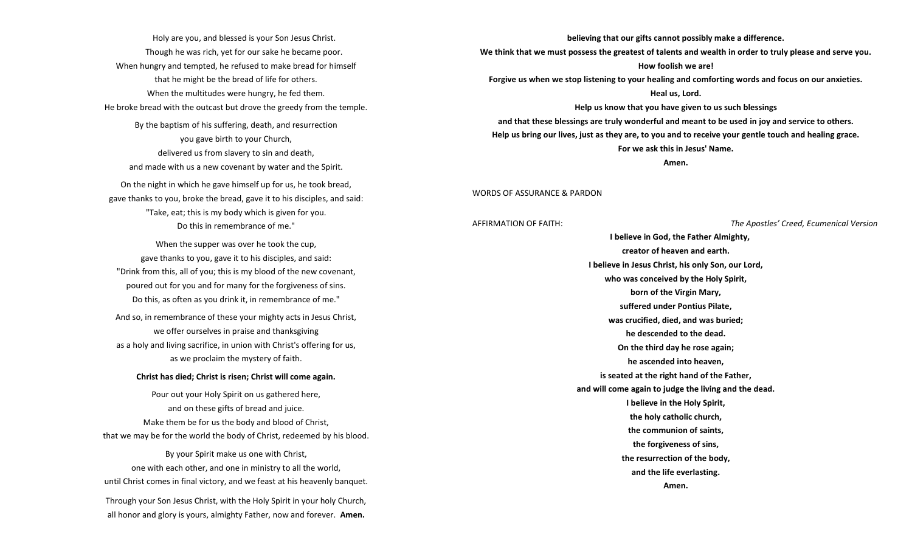Holy are you, and blessed is your Son Jesus Christ. Though he was rich, yet for our sake he became poor. When hungry and tempted, he refused to make bread for himself that he might be the bread of life for others. When the multitudes were hungry, he fed them. He broke bread with the outcast but drove the greedy from the temple. By the baptism of his suffering, death, and resurrection you gave birth to your Church, delivered us from slavery to sin and death, and made with us a new covenant by water and the Spirit. On the night in which he gave himself up for us, he took bread, gave thanks to you, broke the bread, gave it to his disciples, and said: "Take, eat; this is my body which is given for you. Do this in remembrance of me."

When the supper was over he took the cup, gave thanks to you, gave it to his disciples, and said: "Drink from this, all of you; this is my blood of the new covenant, poured out for you and for many for the forgiveness of sins. Do this, as often as you drink it, in remembrance of me."

And so, in remembrance of these your mighty acts in Jesus Christ, we offer ourselves in praise and thanksgiving as a holy and living sacrifice, in union with Christ's offering for us, as we proclaim the mystery of faith.

#### **Christ has died; Christ is risen; Christ will come again.**

Pour out your Holy Spirit on us gathered here, and on these gifts of bread and juice. Make them be for us the body and blood of Christ, that we may be for the world the body of Christ, redeemed by his blood. By your Spirit make us one with Christ, one with each other, and one in ministry to all the world,

Through your Son Jesus Christ, with the Holy Spirit in your holy Church, all honor and glory is yours, almighty Father, now and forever. **Amen.**

until Christ comes in final victory, and we feast at his heavenly banquet.

**believing that our gifts cannot possibly make a difference.** 

**We think that we must possess the greatest of talents and wealth in order to truly please and serve you. How foolish we are!** 

**Forgive us when we stop listening to your healing and comforting words and focus on our anxieties.** 

#### **Heal us, Lord.**

**Help us know that you have given to us such blessings** 

**and that these blessings are truly wonderful and meant to be used in joy and service to others. Help us bring our lives, just as they are, to you and to receive your gentle touch and healing grace. For we ask this in Jesus' Name.** 

**Amen.**

#### WORDS OF ASSURANCE & PARDON

AFFIRMATION OF FAITH: *The Apostles' Creed, Ecumenical Version*

 **I believe in God, the Father Almighty, creator of heaven and earth. I believe in Jesus Christ, his only Son, our Lord, who was conceived by the Holy Spirit, born of the Virgin Mary, suffered under Pontius Pilate, was crucified, died, and was buried; he descended to the dead. On the third day he rose again; he ascended into heaven, is seated at the right hand of the Father, and will come again to judge the living and the dead. I believe in the Holy Spirit, the holy catholic church, the communion of saints, the forgiveness of sins, the resurrection of the body, and the life everlasting. Amen.**